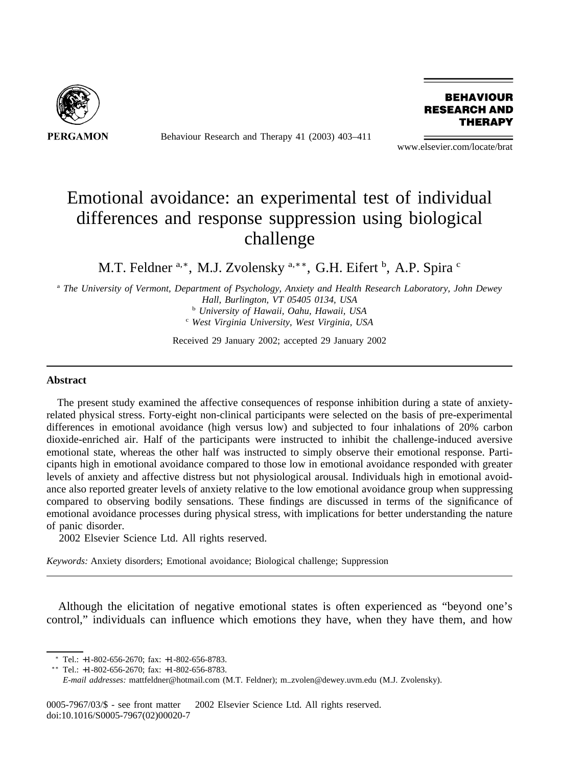

Behaviour Research and Therapy 41 (2003) 403–411

**BEHAVIOUR RESEARCH AND THERAPY** 

www.elsevier.com/locate/brat

## Emotional avoidance: an experimental test of individual differences and response suppression using biological challenge

M.T. Feldner <sup>a,\*</sup>, M.J. Zvolensky <sup>a,\*\*</sup>, G.H. Eifert <sup>b</sup>, A.P. Spira <sup>c</sup>

<sup>a</sup> *The University of Vermont, Department of Psychology, Anxiety and Health Research Laboratory, John Dewey Hall, Burlington, VT 05405 0134, USA* <sup>b</sup> *University of Hawaii, Oahu, Hawaii, USA*

<sup>c</sup> *West Virginia University, West Virginia, USA*

Received 29 January 2002; accepted 29 January 2002

## **Abstract**

The present study examined the affective consequences of response inhibition during a state of anxietyrelated physical stress. Forty-eight non-clinical participants were selected on the basis of pre-experimental differences in emotional avoidance (high versus low) and subjected to four inhalations of 20% carbon dioxide-enriched air. Half of the participants were instructed to inhibit the challenge-induced aversive emotional state, whereas the other half was instructed to simply observe their emotional response. Participants high in emotional avoidance compared to those low in emotional avoidance responded with greater levels of anxiety and affective distress but not physiological arousal. Individuals high in emotional avoidance also reported greater levels of anxiety relative to the low emotional avoidance group when suppressing compared to observing bodily sensations. These findings are discussed in terms of the significance of emotional avoidance processes during physical stress, with implications for better understanding the nature of panic disorder.

2002 Elsevier Science Ltd. All rights reserved.

*Keywords:* Anxiety disorders; Emotional avoidance; Biological challenge; Suppression

Although the elicitation of negative emotional states is often experienced as "beyond one's control," individuals can influence which emotions they have, when they have them, and how

<sup>∗</sup> Tel.: +1-802-656-2670; fax: +1-802-656-8783.

<sup>∗∗</sup> Tel.: +1-802-656-2670; fax: +1-802-656-8783.

*E-mail addresses:* mattfeldner@hotmail.com (M.T. Feldner); m\_zvolen@dewey.uvm.edu (M.J. Zvolensky).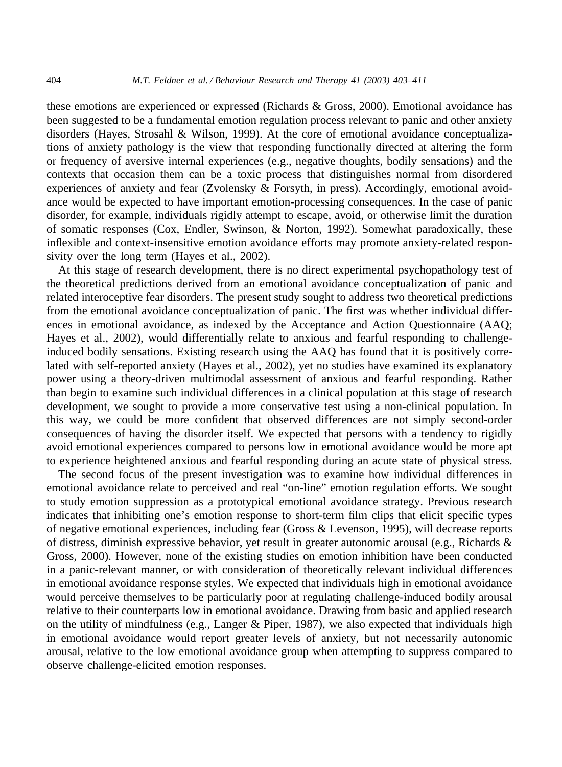these emotions are experienced or expressed (Richards & Gross, 2000). Emotional avoidance has been suggested to be a fundamental emotion regulation process relevant to panic and other anxiety disorders (Hayes, Strosahl & Wilson, 1999). At the core of emotional avoidance conceptualizations of anxiety pathology is the view that responding functionally directed at altering the form or frequency of aversive internal experiences (e.g., negative thoughts, bodily sensations) and the contexts that occasion them can be a toxic process that distinguishes normal from disordered experiences of anxiety and fear (Zvolensky & Forsyth, in press). Accordingly, emotional avoidance would be expected to have important emotion-processing consequences. In the case of panic disorder, for example, individuals rigidly attempt to escape, avoid, or otherwise limit the duration of somatic responses (Cox, Endler, Swinson, & Norton, 1992). Somewhat paradoxically, these inflexible and context-insensitive emotion avoidance efforts may promote anxiety-related responsivity over the long term (Hayes et al., 2002).

At this stage of research development, there is no direct experimental psychopathology test of the theoretical predictions derived from an emotional avoidance conceptualization of panic and related interoceptive fear disorders. The present study sought to address two theoretical predictions from the emotional avoidance conceptualization of panic. The first was whether individual differences in emotional avoidance, as indexed by the Acceptance and Action Questionnaire (AAQ; Hayes et al., 2002), would differentially relate to anxious and fearful responding to challengeinduced bodily sensations. Existing research using the AAQ has found that it is positively correlated with self-reported anxiety (Hayes et al., 2002), yet no studies have examined its explanatory power using a theory-driven multimodal assessment of anxious and fearful responding. Rather than begin to examine such individual differences in a clinical population at this stage of research development, we sought to provide a more conservative test using a non-clinical population. In this way, we could be more confident that observed differences are not simply second-order consequences of having the disorder itself. We expected that persons with a tendency to rigidly avoid emotional experiences compared to persons low in emotional avoidance would be more apt to experience heightened anxious and fearful responding during an acute state of physical stress.

The second focus of the present investigation was to examine how individual differences in emotional avoidance relate to perceived and real "on-line" emotion regulation efforts. We sought to study emotion suppression as a prototypical emotional avoidance strategy. Previous research indicates that inhibiting one's emotion response to short-term film clips that elicit specific types of negative emotional experiences, including fear (Gross & Levenson, 1995), will decrease reports of distress, diminish expressive behavior, yet result in greater autonomic arousal (e.g., Richards & Gross, 2000). However, none of the existing studies on emotion inhibition have been conducted in a panic-relevant manner, or with consideration of theoretically relevant individual differences in emotional avoidance response styles. We expected that individuals high in emotional avoidance would perceive themselves to be particularly poor at regulating challenge-induced bodily arousal relative to their counterparts low in emotional avoidance. Drawing from basic and applied research on the utility of mindfulness (e.g., Langer & Piper, 1987), we also expected that individuals high in emotional avoidance would report greater levels of anxiety, but not necessarily autonomic arousal, relative to the low emotional avoidance group when attempting to suppress compared to observe challenge-elicited emotion responses.